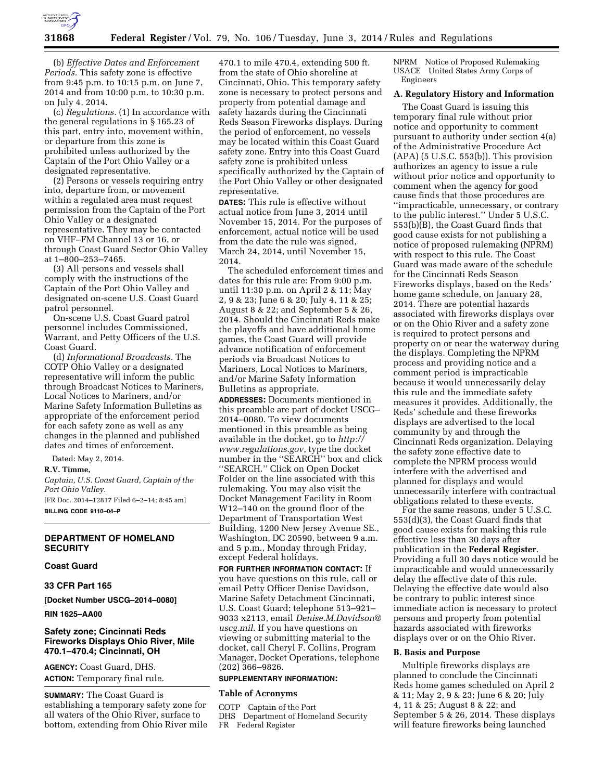

(b) *Effective Dates and Enforcement Periods.* This safety zone is effective from 9:45 p.m. to 10:15 p.m. on June 7, 2014 and from 10:00 p.m. to 10:30 p.m. on July 4, 2014.

(c) *Regulations.* (1) In accordance with the general regulations in § 165.23 of this part, entry into, movement within, or departure from this zone is prohibited unless authorized by the Captain of the Port Ohio Valley or a designated representative.

(2) Persons or vessels requiring entry into, departure from, or movement within a regulated area must request permission from the Captain of the Port Ohio Valley or a designated representative. They may be contacted on VHF–FM Channel 13 or 16, or through Coast Guard Sector Ohio Valley at 1–800–253–7465.

(3) All persons and vessels shall comply with the instructions of the Captain of the Port Ohio Valley and designated on-scene U.S. Coast Guard patrol personnel.

On-scene U.S. Coast Guard patrol personnel includes Commissioned, Warrant, and Petty Officers of the U.S. Coast Guard.

(d) *Informational Broadcasts.* The COTP Ohio Valley or a designated representative will inform the public through Broadcast Notices to Mariners, Local Notices to Mariners, and/or Marine Safety Information Bulletins as appropriate of the enforcement period for each safety zone as well as any changes in the planned and published dates and times of enforcement.

Dated: May 2, 2014.

**R.V. Timme,** 

*Captain, U.S. Coast Guard, Captain of the Port Ohio Valley.* 

[FR Doc. 2014–12817 Filed 6–2–14; 8:45 am] **BILLING CODE 9110–04–P** 

### **DEPARTMENT OF HOMELAND SECURITY**

#### **Coast Guard**

# **33 CFR Part 165**

**[Docket Number USCG–2014–0080]** 

**RIN 1625–AA00** 

# **Safety zone; Cincinnati Reds Fireworks Displays Ohio River, Mile 470.1–470.4; Cincinnati, OH**

**AGENCY:** Coast Guard, DHS. **ACTION:** Temporary final rule.

**SUMMARY:** The Coast Guard is establishing a temporary safety zone for all waters of the Ohio River, surface to bottom, extending from Ohio River mile

470.1 to mile 470.4, extending 500 ft. from the state of Ohio shoreline at Cincinnati, Ohio. This temporary safety zone is necessary to protect persons and property from potential damage and safety hazards during the Cincinnati Reds Season Fireworks displays. During the period of enforcement, no vessels may be located within this Coast Guard safety zone. Entry into this Coast Guard safety zone is prohibited unless specifically authorized by the Captain of the Port Ohio Valley or other designated representative.

**DATES:** This rule is effective without actual notice from June 3, 2014 until November 15, 2014. For the purposes of enforcement, actual notice will be used from the date the rule was signed, March 24, 2014, until November 15, 2014.

The scheduled enforcement times and dates for this rule are: From 9:00 p.m. until 11:30 p.m. on April 2 & 11; May 2, 9 & 23; June 6 & 20; July 4, 11 & 25; August 8 & 22; and September 5 & 26, 2014. Should the Cincinnati Reds make the playoffs and have additional home games, the Coast Guard will provide advance notification of enforcement periods via Broadcast Notices to Mariners, Local Notices to Mariners, and/or Marine Safety Information Bulletins as appropriate.

**ADDRESSES:** Documents mentioned in this preamble are part of docket USCG– 2014–0080. To view documents mentioned in this preamble as being available in the docket, go to *[http://](http://www.regulations.gov) [www.regulations.gov](http://www.regulations.gov)*, type the docket number in the ''SEARCH'' box and click ''SEARCH.'' Click on Open Docket Folder on the line associated with this rulemaking. You may also visit the Docket Management Facility in Room W12–140 on the ground floor of the Department of Transportation West Building, 1200 New Jersey Avenue SE., Washington, DC 20590, between 9 a.m. and 5 p.m., Monday through Friday, except Federal holidays.

**FOR FURTHER INFORMATION CONTACT:** If you have questions on this rule, call or email Petty Officer Denise Davidson, Marine Safety Detachment Cincinnati, U.S. Coast Guard; telephone 513–921– 9033 x2113, email *[Denise.M.Davidson@](mailto:Denise.M.Davidson@uscg.mil) [uscg.mil](mailto:Denise.M.Davidson@uscg.mil)*. If you have questions on viewing or submitting material to the docket, call Cheryl F. Collins, Program Manager, Docket Operations, telephone (202) 366–9826.

### **SUPPLEMENTARY INFORMATION:**

# **Table of Acronyms**

COTP Captain of the Port DHS Department of Homeland Security FR Federal Register

NPRM Notice of Proposed Rulemaking USACE United States Army Corps of Engineers

# **A. Regulatory History and Information**

The Coast Guard is issuing this temporary final rule without prior notice and opportunity to comment pursuant to authority under section 4(a) of the Administrative Procedure Act (APA) (5 U.S.C. 553(b)). This provision authorizes an agency to issue a rule without prior notice and opportunity to comment when the agency for good cause finds that those procedures are ''impracticable, unnecessary, or contrary to the public interest.'' Under 5 U.S.C. 553(b)(B), the Coast Guard finds that good cause exists for not publishing a notice of proposed rulemaking (NPRM) with respect to this rule. The Coast Guard was made aware of the schedule for the Cincinnati Reds Season Fireworks displays, based on the Reds' home game schedule, on January 28, 2014. There are potential hazards associated with fireworks displays over or on the Ohio River and a safety zone is required to protect persons and property on or near the waterway during the displays. Completing the NPRM process and providing notice and a comment period is impracticable because it would unnecessarily delay this rule and the immediate safety measures it provides. Additionally, the Reds' schedule and these fireworks displays are advertised to the local community by and through the Cincinnati Reds organization. Delaying the safety zone effective date to complete the NPRM process would interfere with the advertised and planned for displays and would unnecessarily interfere with contractual obligations related to these events.

For the same reasons, under 5 U.S.C. 553(d)(3), the Coast Guard finds that good cause exists for making this rule effective less than 30 days after publication in the **Federal Register**. Providing a full 30 days notice would be impracticable and would unnecessarily delay the effective date of this rule. Delaying the effective date would also be contrary to public interest since immediate action is necessary to protect persons and property from potential hazards associated with fireworks displays over or on the Ohio River.

# **B. Basis and Purpose**

Multiple fireworks displays are planned to conclude the Cincinnati Reds home games scheduled on April 2 & 11; May 2, 9 & 23; June 6 & 20; July 4, 11 & 25; August 8 & 22; and September 5 & 26, 2014. These displays will feature fireworks being launched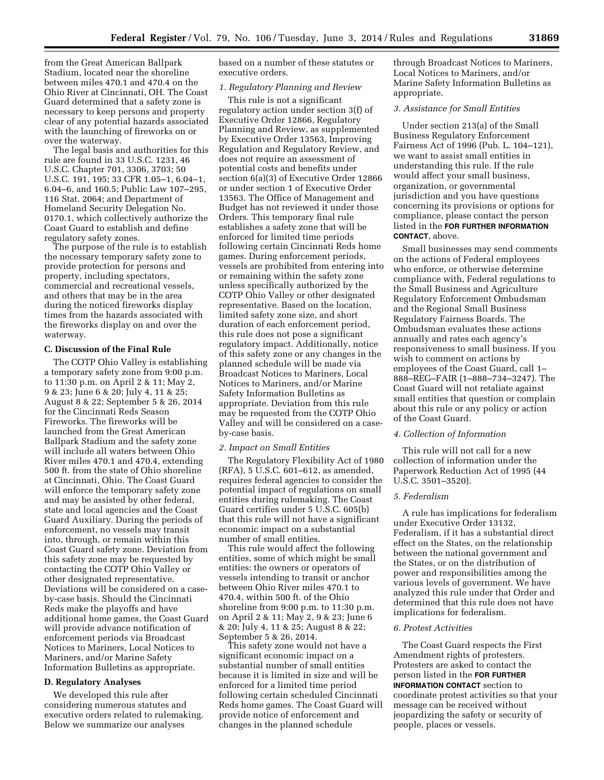from the Great American Ballpark Stadium, located near the shoreline between miles 470.1 and 470.4 on the Ohio River at Cincinnati, OH. The Coast Guard determined that a safety zone is necessary to keep persons and property clear of any potential hazards associated with the launching of fireworks on or over the waterway.

The legal basis and authorities for this rule are found in 33 U.S.C. 1231, 46 U.S.C. Chapter 701, 3306, 3703; 50 U.S.C. 191, 195; 33 CFR 1.05–1, 6.04–1, 6.04–6, and 160.5; Public Law 107–295, 116 Stat. 2064; and Department of Homeland Security Delegation No. 0170.1, which collectively authorize the Coast Guard to establish and define regulatory safety zones.

The purpose of the rule is to establish the necessary temporary safety zone to provide protection for persons and property, including spectators, commercial and recreational vessels, and others that may be in the area during the noticed fireworks display times from the hazards associated with the fireworks display on and over the waterway.

#### **C. Discussion of the Final Rule**

The COTP Ohio Valley is establishing a temporary safety zone from 9:00 p.m. to 11:30 p.m. on April 2 & 11; May 2, 9 & 23; June 6 & 20; July 4, 11 & 25; August 8 & 22; September 5 & 26, 2014 for the Cincinnati Reds Season Fireworks. The fireworks will be launched from the Great American Ballpark Stadium and the safety zone will include all waters between Ohio River miles 470.1 and 470.4, extending 500 ft. from the state of Ohio shoreline at Cincinnati, Ohio. The Coast Guard will enforce the temporary safety zone and may be assisted by other federal, state and local agencies and the Coast Guard Auxiliary. During the periods of enforcement, no vessels may transit into, through, or remain within this Coast Guard safety zone. Deviation from this safety zone may be requested by contacting the COTP Ohio Valley or other designated representative. Deviations will be considered on a caseby-case basis. Should the Cincinnati Reds make the playoffs and have additional home games, the Coast Guard will provide advance notification of enforcement periods via Broadcast Notices to Mariners, Local Notices to Mariners, and/or Marine Safety Information Bulletins as appropriate.

### **D. Regulatory Analyses**

We developed this rule after considering numerous statutes and executive orders related to rulemaking. Below we summarize our analyses

based on a number of these statutes or executive orders.

# *1. Regulatory Planning and Review*

This rule is not a significant regulatory action under section 3(f) of Executive Order 12866, Regulatory Planning and Review, as supplemented by Executive Order 13563, Improving Regulation and Regulatory Review, and does not require an assessment of potential costs and benefits under section 6(a)(3) of Executive Order 12866 or under section 1 of Executive Order 13563. The Office of Management and Budget has not reviewed it under those Orders. This temporary final rule establishes a safety zone that will be enforced for limited time periods following certain Cincinnati Reds home games. During enforcement periods, vessels are prohibited from entering into or remaining within the safety zone unless specifically authorized by the COTP Ohio Valley or other designated representative. Based on the location, limited safety zone size, and short duration of each enforcement period, this rule does not pose a significant regulatory impact. Additionally, notice of this safety zone or any changes in the planned schedule will be made via Broadcast Notices to Mariners, Local Notices to Mariners, and/or Marine Safety Information Bulletins as appropriate. Deviation from this rule may be requested from the COTP Ohio Valley and will be considered on a caseby-case basis.

#### *2. Impact on Small Entities*

The Regulatory Flexibility Act of 1980 (RFA), 5 U.S.C. 601–612, as amended, requires federal agencies to consider the potential impact of regulations on small entities during rulemaking. The Coast Guard certifies under 5 U.S.C. 605(b) that this rule will not have a significant economic impact on a substantial number of small entities.

This rule would affect the following entities, some of which might be small entities: the owners or operators of vessels intending to transit or anchor between Ohio River miles 470.1 to 470.4, within 500 ft. of the Ohio shoreline from 9:00 p.m. to 11:30 p.m. on April 2 & 11; May 2, 9 & 23; June 6 & 20; July 4, 11 & 25; August 8 & 22; September 5 & 26, 2014.

This safety zone would not have a significant economic impact on a substantial number of small entities because it is limited in size and will be enforced for a limited time period following certain scheduled Cincinnati Reds home games. The Coast Guard will provide notice of enforcement and changes in the planned schedule

through Broadcast Notices to Mariners, Local Notices to Mariners, and/or Marine Safety Information Bulletins as appropriate.

### *3. Assistance for Small Entities*

Under section 213(a) of the Small Business Regulatory Enforcement Fairness Act of 1996 (Pub. L. 104–121), we want to assist small entities in understanding this rule. If the rule would affect your small business, organization, or governmental jurisdiction and you have questions concerning its provisions or options for compliance, please contact the person listed in the **FOR FURTHER INFORMATION CONTACT**, above.

Small businesses may send comments on the actions of Federal employees who enforce, or otherwise determine compliance with, Federal regulations to the Small Business and Agriculture Regulatory Enforcement Ombudsman and the Regional Small Business Regulatory Fairness Boards. The Ombudsman evaluates these actions annually and rates each agency's responsiveness to small business. If you wish to comment on actions by employees of the Coast Guard, call 1– 888–REG–FAIR (1–888–734–3247). The Coast Guard will not retaliate against small entities that question or complain about this rule or any policy or action of the Coast Guard.

### *4. Collection of Information*

This rule will not call for a new collection of information under the Paperwork Reduction Act of 1995 (44 U.S.C. 3501–3520).

### *5. Federalism*

A rule has implications for federalism under Executive Order 13132, Federalism, if it has a substantial direct effect on the States, on the relationship between the national government and the States, or on the distribution of power and responsibilities among the various levels of government. We have analyzed this rule under that Order and determined that this rule does not have implications for federalism.

#### *6. Protest Activities*

The Coast Guard respects the First Amendment rights of protesters. Protesters are asked to contact the person listed in the **FOR FURTHER INFORMATION CONTACT** section to coordinate protest activities so that your message can be received without jeopardizing the safety or security of people, places or vessels.